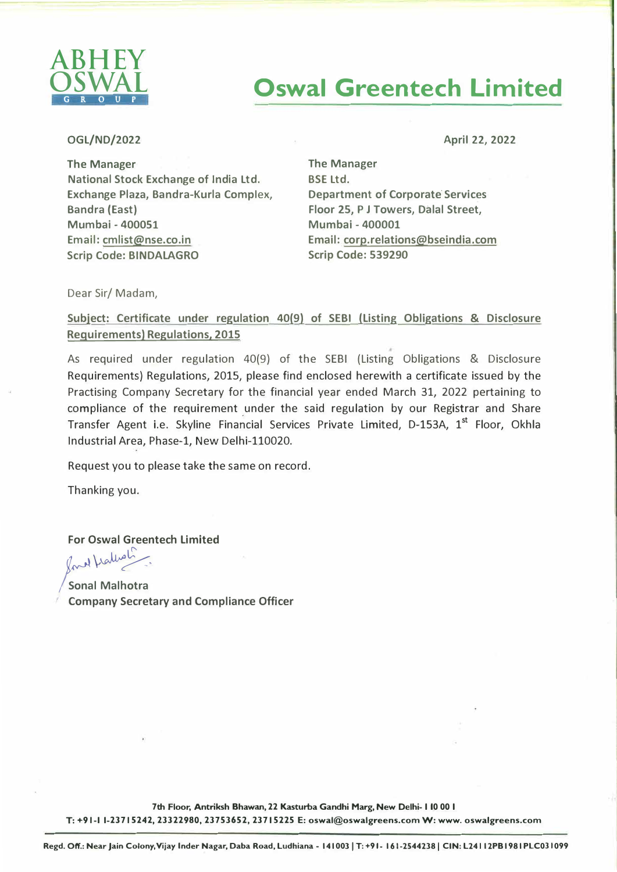

## **Oswal Greentech Limited**

## OGL/ND/2022

April 22, 2022

The Manager National Stock Exchange of India Ltd. Exchange Plaza, Bandra-Kurla Complex, Bandra (East) Mumbai - 400051 Email: cmlist@nse.co.in Scrip Code: **BINDALAGRO** 

The Manager BSE Ltd. **Department of Corporate Services Floor 25, P J Towers, Dalal Street, Mumbai - 400001 Email: corp.relations@bseindia.com Scrip Code: 539290** 

Dear Sir/ Madam,

**Subject: Certificate under regulation 40(9) of SEBI (Listing Obligations & Disclosure Requirements) Regulations, 2015** 

As required under regulation 40(9) of the SEBI (Listing Obligations & Disclosure Requirements) Regulations, 2015, please find enclosed herewith a certificate issued by the Practising Company Secretary for the financial year ended March 31, 2022 pertaining to compliance of the requirement under the said regulation by our Registrar and Share Transfer Agent i.e. Skyline Fina�cial Services Private Limited, D-153A, 1 **st** Floor, Okhla Industrial Area, Phase-1, New Delhi-110020.

Request you to please take the same on record.

Thanking you.

**For Oswal Greentech Limited** 

*j�\,�7,* **/ Sonal Malhotra** 

**Company Secretary and Compliance Officer** 

**7th Floor, Antriksh Bhawan, 22 Kasturba Gandhi Marg, New Delhi- I 10 00 I T: +91-1 1-23715242, 23322980, 23753652, 23715225 E: oswal@oswalgreens.com W:www.oswalgreens.com**